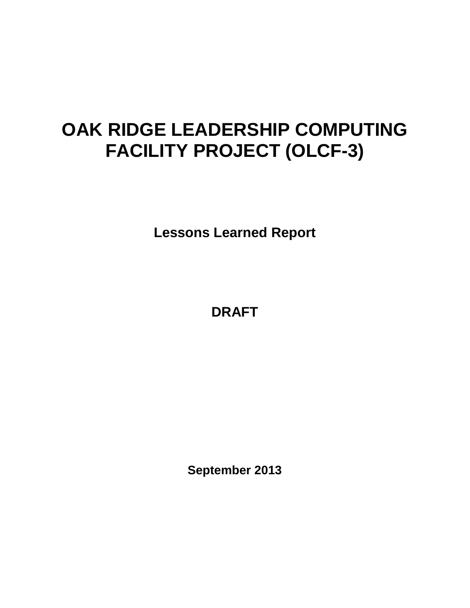# **OAK RIDGE LEADERSHIP COMPUTING FACILITY PROJECT (OLCF-3)**

**Lessons Learned Report**

**DRAFT**

**September 2013**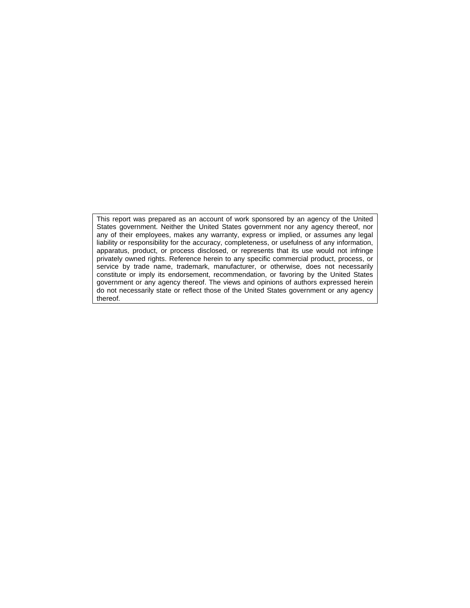This report was prepared as an account of work sponsored by an agency of the United States government. Neither the United States government nor any agency thereof, nor any of their employees, makes any warranty, express or implied, or assumes any legal liability or responsibility for the accuracy, completeness, or usefulness of any information, apparatus, product, or process disclosed, or represents that its use would not infringe privately owned rights. Reference herein to any specific commercial product, process, or service by trade name, trademark, manufacturer, or otherwise, does not necessarily constitute or imply its endorsement, recommendation, or favoring by the United States government or any agency thereof. The views and opinions of authors expressed herein do not necessarily state or reflect those of the United States government or any agency thereof.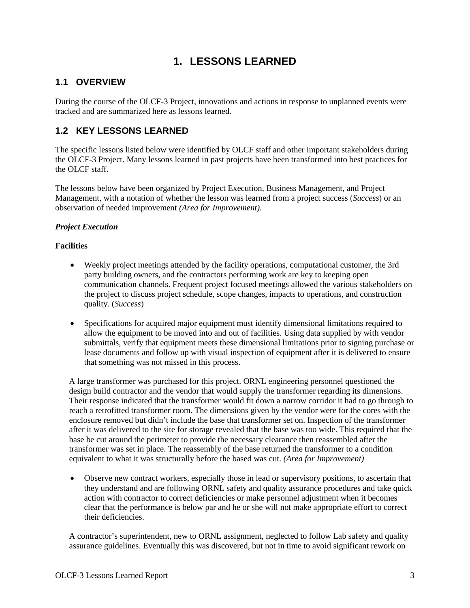## **1. LESSONS LEARNED**

### **1.1 OVERVIEW**

During the course of the OLCF-3 Project, innovations and actions in response to unplanned events were tracked and are summarized here as lessons learned.

## **1.2 KEY LESSONS LEARNED**

The specific lessons listed below were identified by OLCF staff and other important stakeholders during the OLCF-3 Project. Many lessons learned in past projects have been transformed into best practices for the OLCF staff.

The lessons below have been organized by Project Execution, Business Management, and Project Management, with a notation of whether the lesson was learned from a project success (*Success*) or an observation of needed improvement *(Area for Improvement).*

#### *Project Execution*

#### **Facilities**

- Weekly project meetings attended by the facility operations, computational customer, the 3rd party building owners, and the contractors performing work are key to keeping open communication channels. Frequent project focused meetings allowed the various stakeholders on the project to discuss project schedule, scope changes, impacts to operations, and construction quality. (*Success*)
- Specifications for acquired major equipment must identify dimensional limitations required to allow the equipment to be moved into and out of facilities. Using data supplied by with vendor submittals, verify that equipment meets these dimensional limitations prior to signing purchase or lease documents and follow up with visual inspection of equipment after it is delivered to ensure that something was not missed in this process.

A large transformer was purchased for this project. ORNL engineering personnel questioned the design build contractor and the vendor that would supply the transformer regarding its dimensions. Their response indicated that the transformer would fit down a narrow corridor it had to go through to reach a retrofitted transformer room. The dimensions given by the vendor were for the cores with the enclosure removed but didn't include the base that transformer set on. Inspection of the transformer after it was delivered to the site for storage revealed that the base was too wide. This required that the base be cut around the perimeter to provide the necessary clearance then reassembled after the transformer was set in place. The reassembly of the base returned the transformer to a condition equivalent to what it was structurally before the based was cut. *(Area for Improvement)*

• Observe new contract workers, especially those in lead or supervisory positions, to ascertain that they understand and are following ORNL safety and quality assurance procedures and take quick action with contractor to correct deficiencies or make personnel adjustment when it becomes clear that the performance is below par and he or she will not make appropriate effort to correct their deficiencies.

A contractor's superintendent, new to ORNL assignment, neglected to follow Lab safety and quality assurance guidelines. Eventually this was discovered, but not in time to avoid significant rework on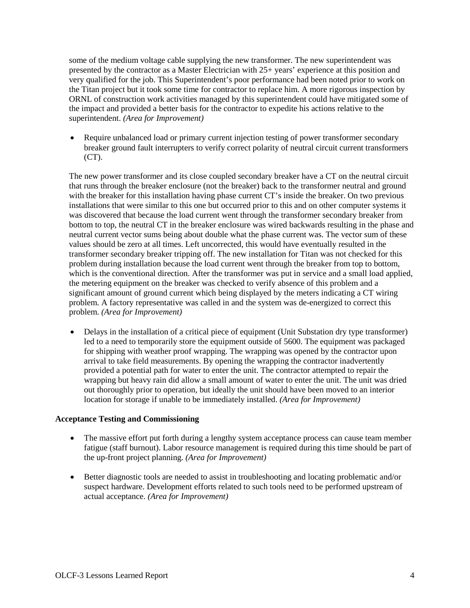some of the medium voltage cable supplying the new transformer. The new superintendent was presented by the contractor as a Master Electrician with 25+ years' experience at this position and very qualified for the job. This Superintendent's poor performance had been noted prior to work on the Titan project but it took some time for contractor to replace him. A more rigorous inspection by ORNL of construction work activities managed by this superintendent could have mitigated some of the impact and provided a better basis for the contractor to expedite his actions relative to the superintendent. *(Area for Improvement)*

• Require unbalanced load or primary current injection testing of power transformer secondary breaker ground fault interrupters to verify correct polarity of neutral circuit current transformers  $(CT)$ .

The new power transformer and its close coupled secondary breaker have a CT on the neutral circuit that runs through the breaker enclosure (not the breaker) back to the transformer neutral and ground with the breaker for this installation having phase current CT's inside the breaker. On two previous installations that were similar to this one but occurred prior to this and on other computer systems it was discovered that because the load current went through the transformer secondary breaker from bottom to top, the neutral CT in the breaker enclosure was wired backwards resulting in the phase and neutral current vector sums being about double what the phase current was. The vector sum of these values should be zero at all times. Left uncorrected, this would have eventually resulted in the transformer secondary breaker tripping off. The new installation for Titan was not checked for this problem during installation because the load current went through the breaker from top to bottom, which is the conventional direction. After the transformer was put in service and a small load applied, the metering equipment on the breaker was checked to verify absence of this problem and a significant amount of ground current which being displayed by the meters indicating a CT wiring problem. A factory representative was called in and the system was de-energized to correct this problem. *(Area for Improvement)*

• Delays in the installation of a critical piece of equipment (Unit Substation dry type transformer) led to a need to temporarily store the equipment outside of 5600. The equipment was packaged for shipping with weather proof wrapping. The wrapping was opened by the contractor upon arrival to take field measurements. By opening the wrapping the contractor inadvertently provided a potential path for water to enter the unit. The contractor attempted to repair the wrapping but heavy rain did allow a small amount of water to enter the unit. The unit was dried out thoroughly prior to operation, but ideally the unit should have been moved to an interior location for storage if unable to be immediately installed. *(Area for Improvement)*

#### **Acceptance Testing and Commissioning**

- The massive effort put forth during a lengthy system acceptance process can cause team member fatigue (staff burnout). Labor resource management is required during this time should be part of the up-front project planning. *(Area for Improvement)*
- Better diagnostic tools are needed to assist in troubleshooting and locating problematic and/or suspect hardware. Development efforts related to such tools need to be performed upstream of actual acceptance. *(Area for Improvement)*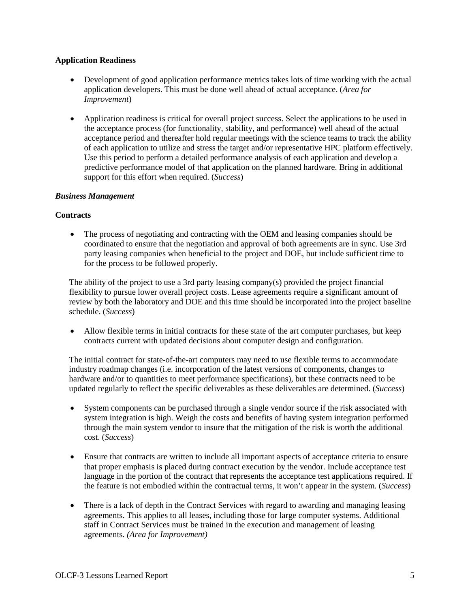#### **Application Readiness**

- Development of good application performance metrics takes lots of time working with the actual application developers. This must be done well ahead of actual acceptance. (*Area for Improvement*)
- Application readiness is critical for overall project success. Select the applications to be used in the acceptance process (for functionality, stability, and performance) well ahead of the actual acceptance period and thereafter hold regular meetings with the science teams to track the ability of each application to utilize and stress the target and/or representative HPC platform effectively. Use this period to perform a detailed performance analysis of each application and develop a predictive performance model of that application on the planned hardware. Bring in additional support for this effort when required. (*Success*)

#### *Business Management*

#### **Contracts**

• The process of negotiating and contracting with the OEM and leasing companies should be coordinated to ensure that the negotiation and approval of both agreements are in sync. Use 3rd party leasing companies when beneficial to the project and DOE, but include sufficient time to for the process to be followed properly.

The ability of the project to use a 3rd party leasing company(s) provided the project financial flexibility to pursue lower overall project costs. Lease agreements require a significant amount of review by both the laboratory and DOE and this time should be incorporated into the project baseline schedule. (*Success*)

• Allow flexible terms in initial contracts for these state of the art computer purchases, but keep contracts current with updated decisions about computer design and configuration.

The initial contract for state-of-the-art computers may need to use flexible terms to accommodate industry roadmap changes (i.e. incorporation of the latest versions of components, changes to hardware and/or to quantities to meet performance specifications), but these contracts need to be updated regularly to reflect the specific deliverables as these deliverables are determined. (*Success*)

- System components can be purchased through a single vendor source if the risk associated with system integration is high. Weigh the costs and benefits of having system integration performed through the main system vendor to insure that the mitigation of the risk is worth the additional cost. (*Success*)
- Ensure that contracts are written to include all important aspects of acceptance criteria to ensure that proper emphasis is placed during contract execution by the vendor. Include acceptance test language in the portion of the contract that represents the acceptance test applications required. If the feature is not embodied within the contractual terms, it won't appear in the system. (*Success*)
- There is a lack of depth in the Contract Services with regard to awarding and managing leasing agreements. This applies to all leases, including those for large computer systems. Additional staff in Contract Services must be trained in the execution and management of leasing agreements. *(Area for Improvement)*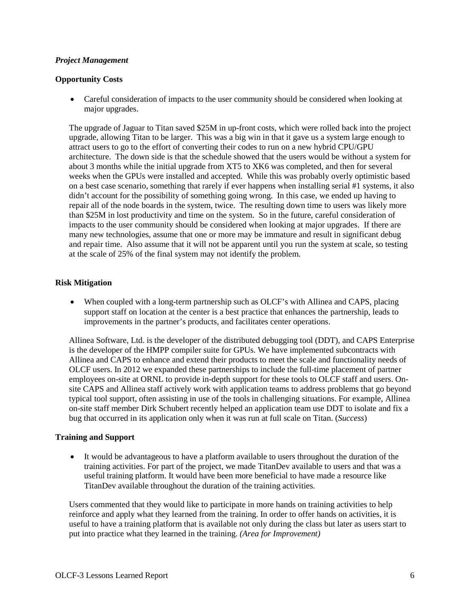#### *Project Management*

#### **Opportunity Costs**

• Careful consideration of impacts to the user community should be considered when looking at major upgrades.

The upgrade of Jaguar to Titan saved \$25M in up-front costs, which were rolled back into the project upgrade, allowing Titan to be larger. This was a big win in that it gave us a system large enough to attract users to go to the effort of converting their codes to run on a new hybrid CPU/GPU architecture. The down side is that the schedule showed that the users would be without a system for about 3 months while the initial upgrade from XT5 to XK6 was completed, and then for several weeks when the GPUs were installed and accepted. While this was probably overly optimistic based on a best case scenario, something that rarely if ever happens when installing serial #1 systems, it also didn't account for the possibility of something going wrong. In this case, we ended up having to repair all of the node boards in the system, twice. The resulting down time to users was likely more than \$25M in lost productivity and time on the system. So in the future, careful consideration of impacts to the user community should be considered when looking at major upgrades. If there are many new technologies, assume that one or more may be immature and result in significant debug and repair time. Also assume that it will not be apparent until you run the system at scale, so testing at the scale of 25% of the final system may not identify the problem.

#### **Risk Mitigation**

• When coupled with a long-term partnership such as OLCF's with Allinea and CAPS, placing support staff on location at the center is a best practice that enhances the partnership, leads to improvements in the partner's products, and facilitates center operations.

Allinea Software, Ltd. is the developer of the distributed debugging tool (DDT), and CAPS Enterprise is the developer of the HMPP compiler suite for GPUs. We have implemented subcontracts with Allinea and CAPS to enhance and extend their products to meet the scale and functionality needs of OLCF users. In 2012 we expanded these partnerships to include the full-time placement of partner employees on-site at ORNL to provide in-depth support for these tools to OLCF staff and users. Onsite CAPS and Allinea staff actively work with application teams to address problems that go beyond typical tool support, often assisting in use of the tools in challenging situations. For example, Allinea on-site staff member Dirk Schubert recently helped an application team use DDT to isolate and fix a bug that occurred in its application only when it was run at full scale on Titan. (*Success*)

#### **Training and Support**

• It would be advantageous to have a platform available to users throughout the duration of the training activities. For part of the project, we made TitanDev available to users and that was a useful training platform. It would have been more beneficial to have made a resource like TitanDev available throughout the duration of the training activities.

Users commented that they would like to participate in more hands on training activities to help reinforce and apply what they learned from the training. In order to offer hands on activities, it is useful to have a training platform that is available not only during the class but later as users start to put into practice what they learned in the training. *(Area for Improvement)*